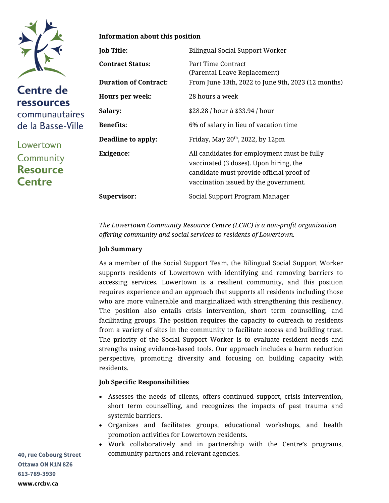

**Centre de ressources** communautaires de la Basse-Ville

Lowertown Community **Resource Centre** 

#### **Information about this position**

| Job Title:                   | <b>Bilingual Social Support Worker</b>                                                                                                                                     |
|------------------------------|----------------------------------------------------------------------------------------------------------------------------------------------------------------------------|
| <b>Contract Status:</b>      | Part Time Contract<br>(Parental Leave Replacement)                                                                                                                         |
| <b>Duration of Contract:</b> | From June 13th, 2022 to June 9th, 2023 (12 months)                                                                                                                         |
| <b>Hours per week:</b>       | 28 hours a week                                                                                                                                                            |
| <b>Salary:</b>               | \$28.28 / hour à \$33.94 / hour                                                                                                                                            |
| Benefits:                    | 6% of salary in lieu of vacation time                                                                                                                                      |
| Deadline to apply:           | Friday, May $20th$ , 2022, by 12pm                                                                                                                                         |
| <b>Exigence:</b>             | All candidates for employment must be fully<br>vaccinated (3 doses). Upon hiring, the<br>candidate must provide official proof of<br>vaccination issued by the government. |
| <b>Supervisor:</b>           | Social Support Program Manager                                                                                                                                             |

*The Lowertown Community Resource Centre (LCRC) is a non-profit organization offering community and social services to residents of Lowertown.*

## **Job Summary**

As a member of the Social Support Team, the Bilingual Social Support Worker supports residents of Lowertown with identifying and removing barriers to accessing services. Lowertown is a resilient community, and this position requires experience and an approach that supports all residents including those who are more vulnerable and marginalized with strengthening this resiliency. The position also entails crisis intervention, short term counselling, and facilitating groups. The position requires the capacity to outreach to residents from a variety of sites in the community to facilitate access and building trust. The priority of the Social Support Worker is to evaluate resident needs and strengths using evidence-based tools. Our approach includes a harm reduction perspective, promoting diversity and focusing on building capacity with residents.

#### **Job Specific Responsibilities**

- Assesses the needs of clients, offers continued support, crisis intervention, short term counselling, and recognizes the impacts of past trauma and systemic barriers.
- Organizes and facilitates groups, educational workshops, and health promotion activities for Lowertown residents.
- Work collaboratively and in partnership with the Centre's programs, community partners and relevant agencies.

**40, rue Cobourg Street Ottawa ON K1N 8Z6 613-789-3930 www.crcbv.ca**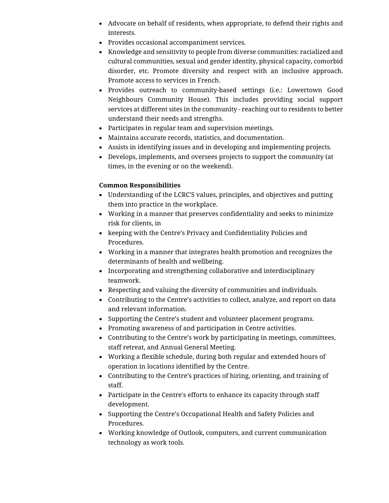- Advocate on behalf of residents, when appropriate, to defend their rights and interests.
- Provides occasional accompaniment services.
- Knowledge and sensitivity to people from diverse communities: racialized and cultural communities, sexual and gender identity, physical capacity, comorbid disorder, etc. Promote diversity and respect with an inclusive approach. Promote access to services in French.
- Provides outreach to community-based settings (i.e.: Lowertown Good Neighbours Community House). This includes providing social support services at different sites in the community - reaching out to residents to better understand their needs and strengths.
- Participates in regular team and supervision meetings.
- Maintains accurate records, statistics, and documentation.
- Assists in identifying issues and in developing and implementing projects.
- Develops, implements, and oversees projects to support the community (at times, in the evening or on the weekend).

# **Common Responsibilities**

- Understanding of the LCRC'S values, principles, and objectives and putting them into practice in the workplace.
- Working in a manner that preserves confidentiality and seeks to minimize risk for clients, in
- keeping with the Centre's Privacy and Confidentiality Policies and Procedures.
- Working in a manner that integrates health promotion and recognizes the determinants of health and wellbeing.
- Incorporating and strengthening collaborative and interdisciplinary teamwork.
- Respecting and valuing the diversity of communities and individuals.
- Contributing to the Centre's activities to collect, analyze, and report on data and relevant information.
- Supporting the Centre's student and volunteer placement programs.
- Promoting awareness of and participation in Centre activities.
- Contributing to the Centre's work by participating in meetings, committees, staff retreat, and Annual General Meeting.
- Working a flexible schedule, during both regular and extended hours of operation in locations identified by the Centre.
- Contributing to the Centre's practices of hiring, orienting, and training of staff.
- Participate in the Centre's efforts to enhance its capacity through staff development.
- Supporting the Centre's Occupational Health and Safety Policies and Procedures.
- Working knowledge of Outlook, computers, and current communication technology as work tools.